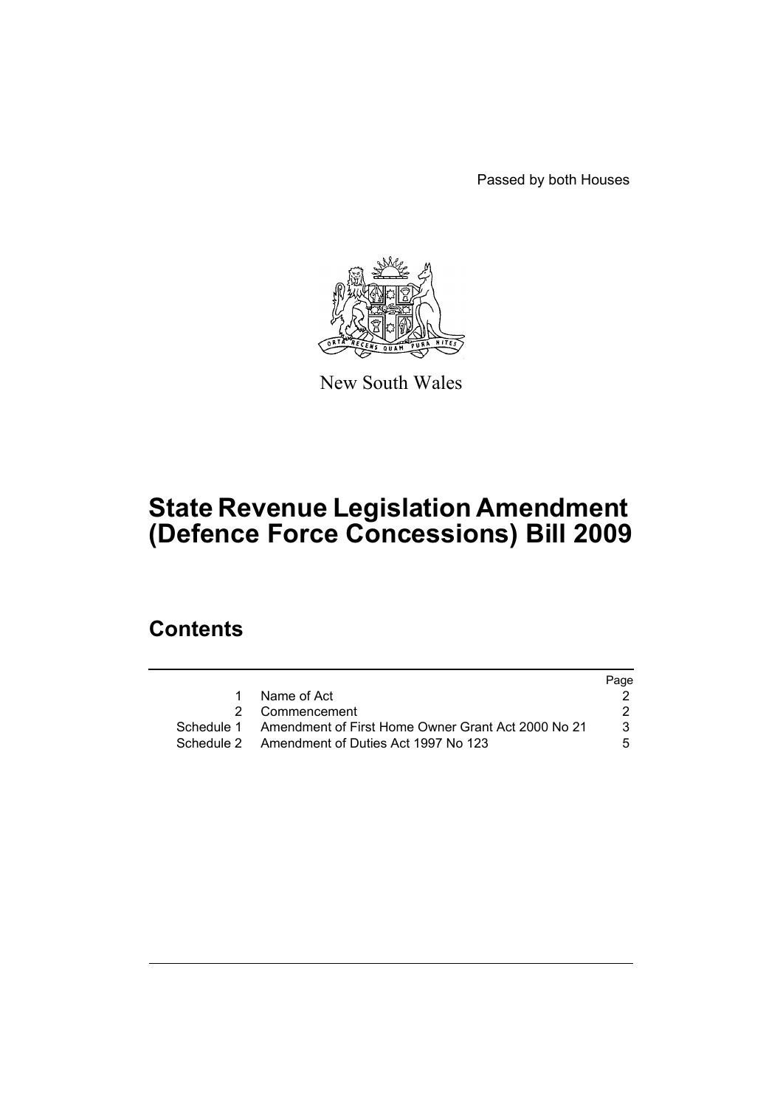Passed by both Houses



New South Wales

# **State Revenue Legislation Amendment (Defence Force Concessions) Bill 2009**

## **Contents**

|             |                                                               | Page |
|-------------|---------------------------------------------------------------|------|
| $\mathbf 1$ | Name of Act                                                   |      |
|             | 2 Commencement                                                |      |
|             | Schedule 1 Amendment of First Home Owner Grant Act 2000 No 21 | 3    |
|             | Schedule 2 Amendment of Duties Act 1997 No 123                | 5.   |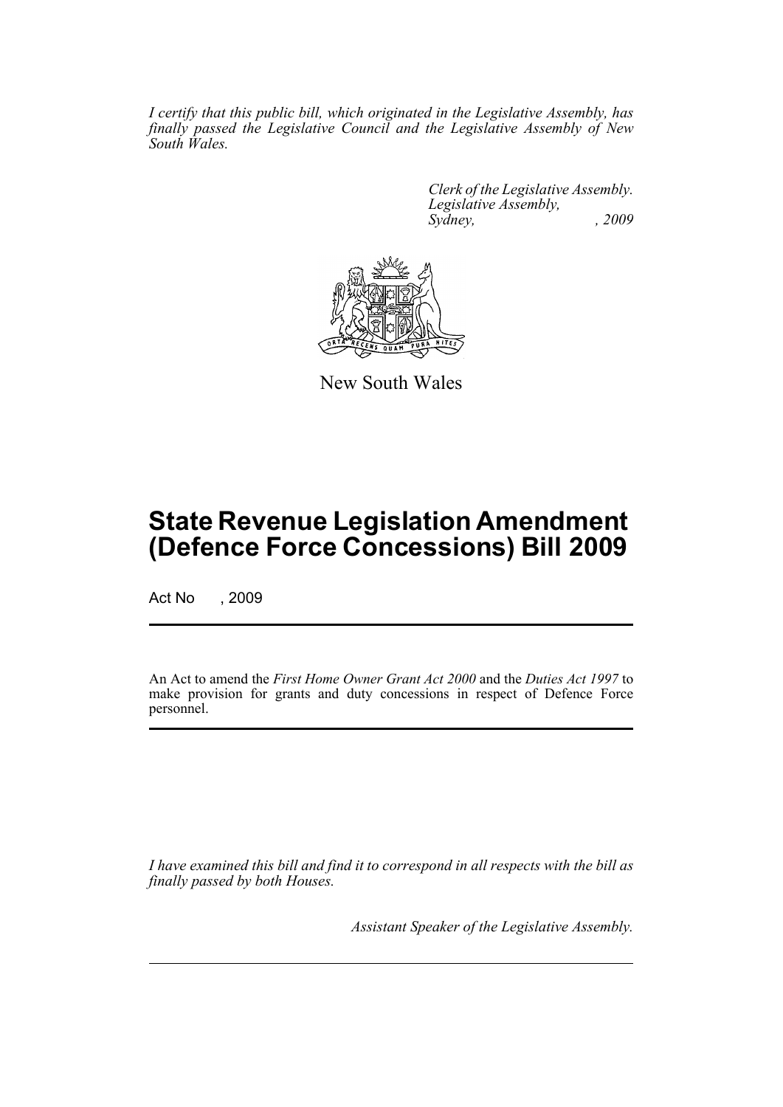*I certify that this public bill, which originated in the Legislative Assembly, has finally passed the Legislative Council and the Legislative Assembly of New South Wales.*

> *Clerk of the Legislative Assembly. Legislative Assembly, Sydney, , 2009*



New South Wales

## **State Revenue Legislation Amendment (Defence Force Concessions) Bill 2009**

Act No , 2009

An Act to amend the *First Home Owner Grant Act 2000* and the *Duties Act 1997* to make provision for grants and duty concessions in respect of Defence Force personnel.

*I have examined this bill and find it to correspond in all respects with the bill as finally passed by both Houses.*

*Assistant Speaker of the Legislative Assembly.*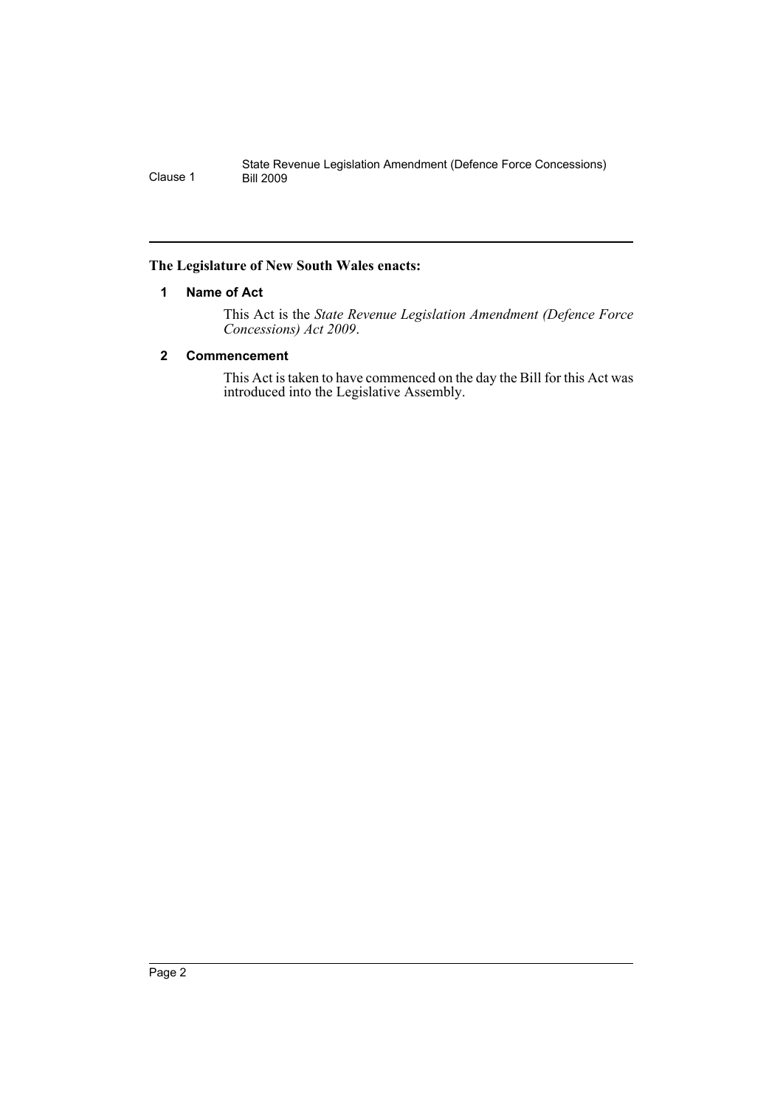#### <span id="page-2-0"></span>**The Legislature of New South Wales enacts:**

#### **1 Name of Act**

This Act is the *State Revenue Legislation Amendment (Defence Force Concessions) Act 2009*.

#### <span id="page-2-1"></span>**2 Commencement**

This Act is taken to have commenced on the day the Bill for this Act was introduced into the Legislative Assembly.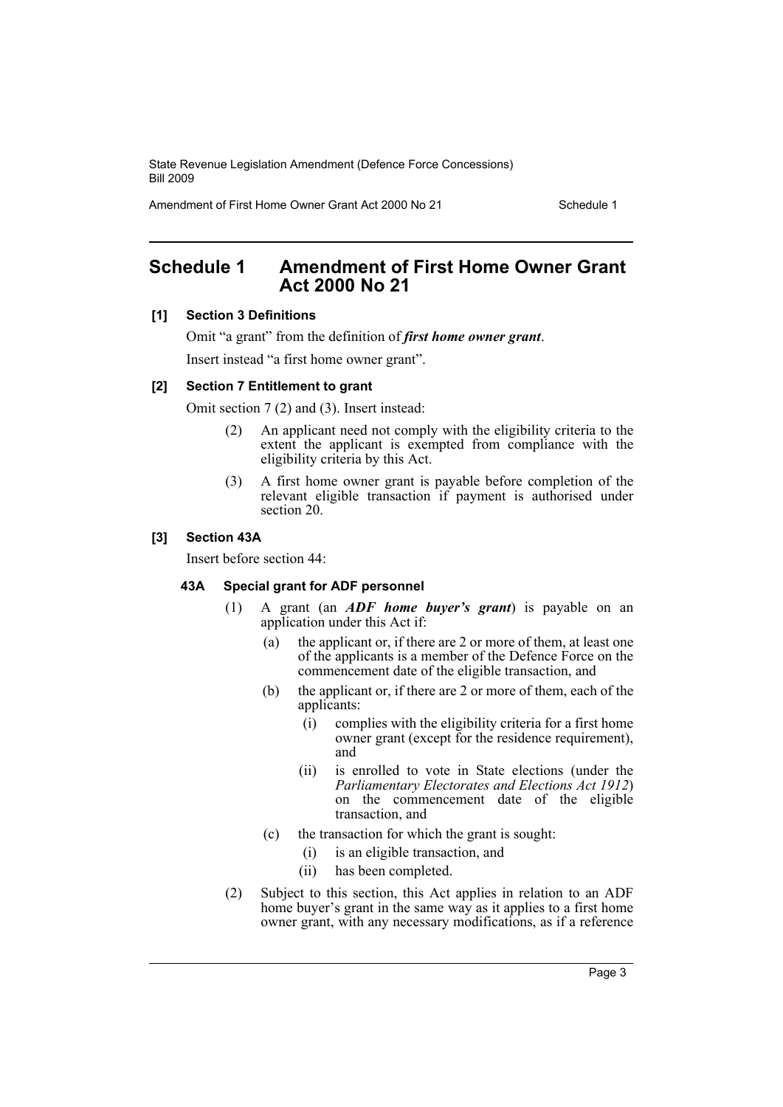State Revenue Legislation Amendment (Defence Force Concessions) Bill 2009

Amendment of First Home Owner Grant Act 2000 No 21 Schedule 1

### <span id="page-3-0"></span>**Schedule 1 Amendment of First Home Owner Grant Act 2000 No 21**

#### **[1] Section 3 Definitions**

Omit "a grant" from the definition of *first home owner grant*.

Insert instead "a first home owner grant".

#### **[2] Section 7 Entitlement to grant**

Omit section 7 (2) and (3). Insert instead:

- (2) An applicant need not comply with the eligibility criteria to the extent the applicant is exempted from compliance with the eligibility criteria by this Act.
- (3) A first home owner grant is payable before completion of the relevant eligible transaction if payment is authorised under section 20.

#### **[3] Section 43A**

Insert before section 44:

#### **43A Special grant for ADF personnel**

- (1) A grant (an *ADF home buyer's grant*) is payable on an application under this Act if:
	- (a) the applicant or, if there are 2 or more of them, at least one of the applicants is a member of the Defence Force on the commencement date of the eligible transaction, and
	- (b) the applicant or, if there are 2 or more of them, each of the applicants:
		- (i) complies with the eligibility criteria for a first home owner grant (except for the residence requirement), and
		- (ii) is enrolled to vote in State elections (under the *Parliamentary Electorates and Elections Act 1912*) on the commencement date of the eligible transaction, and
	- (c) the transaction for which the grant is sought:
		- (i) is an eligible transaction, and
		- (ii) has been completed.
- (2) Subject to this section, this Act applies in relation to an ADF home buyer's grant in the same way as it applies to a first home owner grant, with any necessary modifications, as if a reference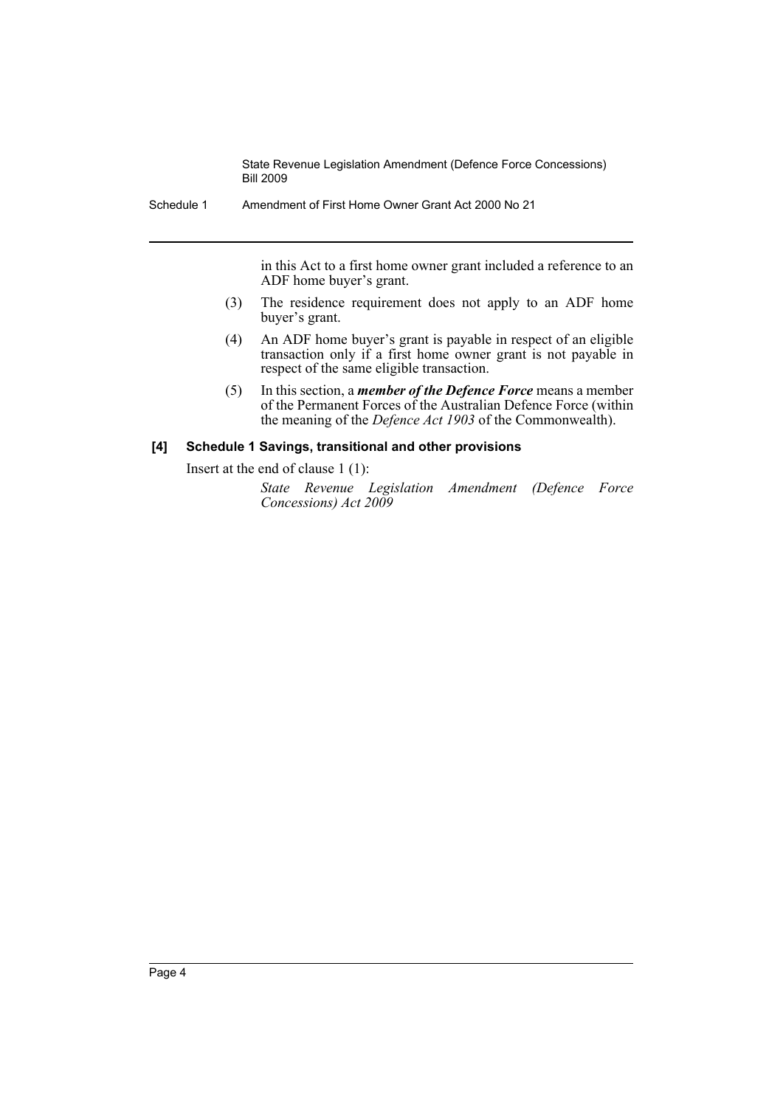State Revenue Legislation Amendment (Defence Force Concessions) Bill 2009

Schedule 1 Amendment of First Home Owner Grant Act 2000 No 21

in this Act to a first home owner grant included a reference to an ADF home buyer's grant.

- (3) The residence requirement does not apply to an ADF home buyer's grant.
- (4) An ADF home buyer's grant is payable in respect of an eligible transaction only if a first home owner grant is not payable in respect of the same eligible transaction.
- (5) In this section, a *member of the Defence Force* means a member of the Permanent Forces of the Australian Defence Force (within the meaning of the *Defence Act 1903* of the Commonwealth).

#### **[4] Schedule 1 Savings, transitional and other provisions**

Insert at the end of clause 1 (1):

*State Revenue Legislation Amendment (Defence Force Concessions) Act 2009*